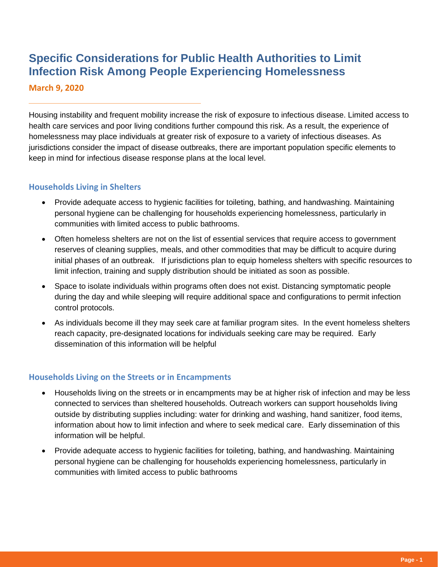# **Specific Considerations for Public Health Authorities to Limit Infection Risk Among People Experiencing Homelessness**

**March 9, 2020**

Housing instability and frequent mobility increase the risk of exposure to infectious disease. Limited access to health care services and poor living conditions further compound this risk. As a result, the experience of homelessness may place individuals at greater risk of exposure to a variety of infectious diseases. As jurisdictions consider the impact of disease outbreaks, there are important population specific elements to keep in mind for infectious disease response plans at the local level.

#### **Households Living in Shelters**

- Provide adequate access to hygienic facilities for toileting, bathing, and handwashing. Maintaining personal hygiene can be challenging for households experiencing homelessness, particularly in communities with limited access to public bathrooms.
- Often homeless shelters are not on the list of essential services that require access to government reserves of cleaning supplies, meals, and other commodities that may be difficult to acquire during initial phases of an outbreak. If jurisdictions plan to equip homeless shelters with specific resources to limit infection, training and supply distribution should be initiated as soon as possible.
- Space to isolate individuals within programs often does not exist. Distancing symptomatic people during the day and while sleeping will require additional space and configurations to permit infection control protocols.
- As individuals become ill they may seek care at familiar program sites. In the event homeless shelters reach capacity, pre-designated locations for individuals seeking care may be required. Early dissemination of this information will be helpful

## **Households Living on the Streets or in Encampments**

- Households living on the streets or in encampments may be at higher risk of infection and may be less connected to services than sheltered households. Outreach workers can support households living outside by distributing supplies including: water for drinking and washing, hand sanitizer, food items, information about how to limit infection and where to seek medical care. Early dissemination of this information will be helpful.
- Provide adequate access to hygienic facilities for toileting, bathing, and handwashing. Maintaining personal hygiene can be challenging for households experiencing homelessness, particularly in communities with limited access to public bathrooms